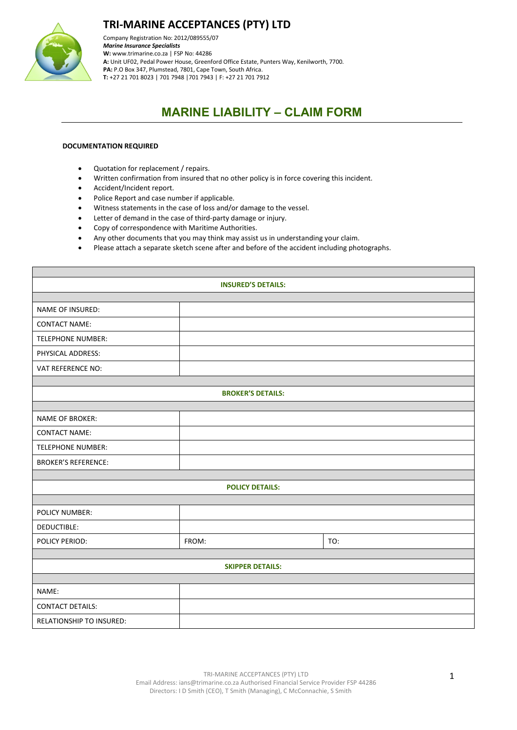

Company Registration No: 2012/089555/07 *Marine Insurance Specialists*  **W:** [www.trimarine.co.za](http://www.trimarine.co.za/) | FSP No: 44286 **A:** Unit UF02, Pedal Power House, Greenford Office Estate, Punters Way, Kenilworth, 7700. **PA:** P.O Box 347, Plumstead, 7801, Cape Town, South Africa. **T:** +27 21 701 8023 | 701 7948 |701 7943 | F: +27 21 701 7912

# **MARINE LIABILITY – CLAIM FORM**

#### **DOCUMENTATION REQUIRED**

- Quotation for replacement / repairs.
- Written confirmation from insured that no other policy is in force covering this incident.
- Accident/Incident report.
- Police Report and case number if applicable.
- Witness statements in the case of loss and/or damage to the vessel.
- Letter of demand in the case of third-party damage or injury.
- Copy of correspondence with Maritime Authorities.
- Any other documents that you may think may assist us in understanding your claim.
- Please attach a separate sketch scene after and before of the accident including photographs.

| <b>INSURED'S DETAILS:</b>       |                        |     |  |  |  |  |  |
|---------------------------------|------------------------|-----|--|--|--|--|--|
|                                 |                        |     |  |  |  |  |  |
| <b>NAME OF INSURED:</b>         |                        |     |  |  |  |  |  |
| <b>CONTACT NAME:</b>            |                        |     |  |  |  |  |  |
| <b>TELEPHONE NUMBER:</b>        |                        |     |  |  |  |  |  |
| PHYSICAL ADDRESS:               |                        |     |  |  |  |  |  |
| VAT REFERENCE NO:               |                        |     |  |  |  |  |  |
|                                 |                        |     |  |  |  |  |  |
| <b>BROKER'S DETAILS:</b>        |                        |     |  |  |  |  |  |
|                                 |                        |     |  |  |  |  |  |
| <b>NAME OF BROKER:</b>          |                        |     |  |  |  |  |  |
| <b>CONTACT NAME:</b>            |                        |     |  |  |  |  |  |
| <b>TELEPHONE NUMBER:</b>        |                        |     |  |  |  |  |  |
| <b>BROKER'S REFERENCE:</b>      |                        |     |  |  |  |  |  |
|                                 |                        |     |  |  |  |  |  |
|                                 | <b>POLICY DETAILS:</b> |     |  |  |  |  |  |
|                                 |                        |     |  |  |  |  |  |
| <b>POLICY NUMBER:</b>           |                        |     |  |  |  |  |  |
| DEDUCTIBLE:                     |                        |     |  |  |  |  |  |
| POLICY PERIOD:                  | FROM:                  | TO: |  |  |  |  |  |
|                                 |                        |     |  |  |  |  |  |
| <b>SKIPPER DETAILS:</b>         |                        |     |  |  |  |  |  |
|                                 |                        |     |  |  |  |  |  |
| NAME:                           |                        |     |  |  |  |  |  |
| <b>CONTACT DETAILS:</b>         |                        |     |  |  |  |  |  |
| <b>RELATIONSHIP TO INSURED:</b> |                        |     |  |  |  |  |  |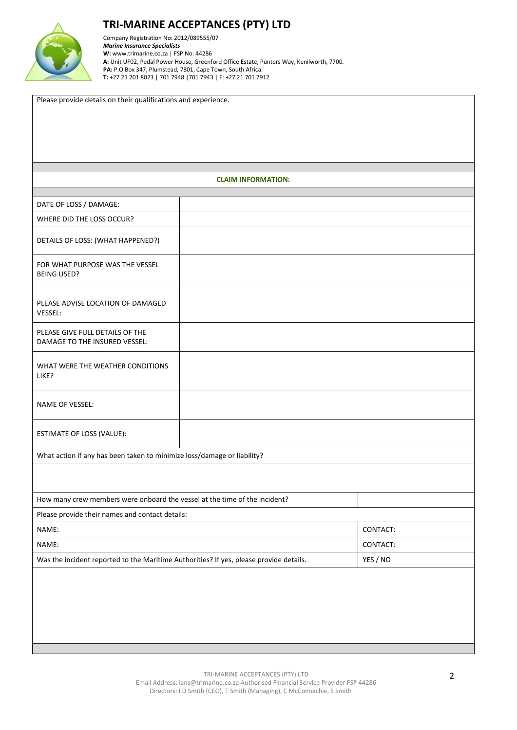

Company Registration No: 2012/089555/07 *Marine Insurance Specialists*  **W:** [www.trimarine.co.za](http://www.trimarine.co.za/) | FSP No: 44286 **A:** Unit UF02, Pedal Power House, Greenford Office Estate, Punters Way, Kenilworth, 7700. **PA:** P.O Box 347, Plumstead, 7801, Cape Town, South Africa. **T:** +27 21 701 8023 | 701 7948 |701 7943 | F: +27 21 701 7912

|                                                                                        | <b>CLAIM INFORMATION:</b> |          |  |  |
|----------------------------------------------------------------------------------------|---------------------------|----------|--|--|
|                                                                                        |                           |          |  |  |
| DATE OF LOSS / DAMAGE:                                                                 |                           |          |  |  |
| WHERE DID THE LOSS OCCUR?                                                              |                           |          |  |  |
| DETAILS OF LOSS: (WHAT HAPPENED?)                                                      |                           |          |  |  |
| FOR WHAT PURPOSE WAS THE VESSEL<br><b>BEING USED?</b>                                  |                           |          |  |  |
| PLEASE ADVISE LOCATION OF DAMAGED<br>VESSEL:                                           |                           |          |  |  |
| PLEASE GIVE FULL DETAILS OF THE<br>DAMAGE TO THE INSURED VESSEL:                       |                           |          |  |  |
| WHAT WERE THE WEATHER CONDITIONS<br>LIKE?                                              |                           |          |  |  |
| NAME OF VESSEL:                                                                        |                           |          |  |  |
| ESTIMATE OF LOSS (VALUE):                                                              |                           |          |  |  |
| What action if any has been taken to minimize loss/damage or liability?                |                           |          |  |  |
|                                                                                        |                           |          |  |  |
|                                                                                        |                           |          |  |  |
| How many crew members were onboard the vessel at the time of the incident?             |                           |          |  |  |
| Please provide their names and contact details:                                        |                           |          |  |  |
| NAME:                                                                                  | CONTACT:                  |          |  |  |
| NAME:                                                                                  | CONTACT:                  |          |  |  |
| Was the incident reported to the Maritime Authorities? If yes, please provide details. |                           | YES / NO |  |  |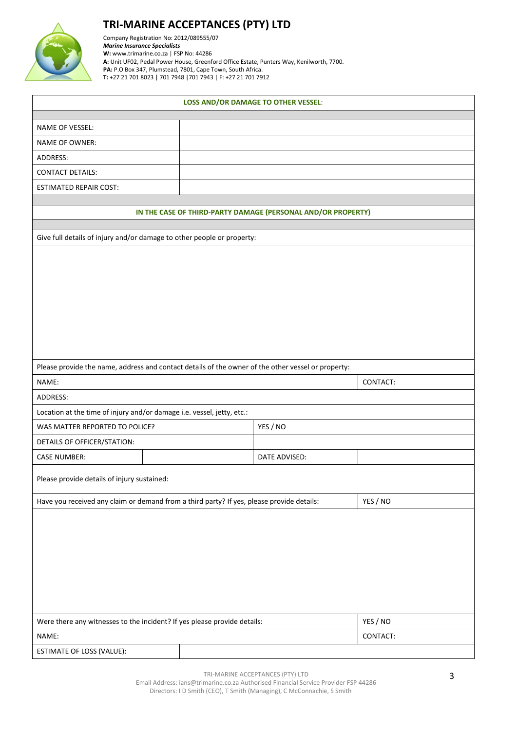

Company Registration No: 2012/089555/07 *Marine Insurance Specialists*  **W:** [www.trimarine.co.za](http://www.trimarine.co.za/) | FSP No: 44286 **A:** Unit UF02, Pedal Power House, Greenford Office Estate, Punters Way, Kenilworth, 7700. **PA:** P.O Box 347, Plumstead, 7801, Cape Town, South Africa. **T:** +27 21 701 8023 | 701 7948 |701 7943 | F: +27 21 701 7912

| <b>LOSS AND/OR DAMAGE TO OTHER VESSEL:</b>                                                         |  |  |               |          |  |  |  |
|----------------------------------------------------------------------------------------------------|--|--|---------------|----------|--|--|--|
| NAME OF VESSEL:                                                                                    |  |  |               |          |  |  |  |
|                                                                                                    |  |  |               |          |  |  |  |
| <b>NAME OF OWNER:</b>                                                                              |  |  |               |          |  |  |  |
| ADDRESS:                                                                                           |  |  |               |          |  |  |  |
| <b>CONTACT DETAILS:</b>                                                                            |  |  |               |          |  |  |  |
| <b>ESTIMATED REPAIR COST:</b>                                                                      |  |  |               |          |  |  |  |
| IN THE CASE OF THIRD-PARTY DAMAGE (PERSONAL AND/OR PROPERTY)                                       |  |  |               |          |  |  |  |
|                                                                                                    |  |  |               |          |  |  |  |
| Give full details of injury and/or damage to other people or property:                             |  |  |               |          |  |  |  |
|                                                                                                    |  |  |               |          |  |  |  |
| Please provide the name, address and contact details of the owner of the other vessel or property: |  |  |               |          |  |  |  |
| NAME:                                                                                              |  |  |               | CONTACT: |  |  |  |
| ADDRESS:                                                                                           |  |  |               |          |  |  |  |
| Location at the time of injury and/or damage i.e. vessel, jetty, etc.:                             |  |  |               |          |  |  |  |
| WAS MATTER REPORTED TO POLICE?                                                                     |  |  | YES / NO      |          |  |  |  |
| DETAILS OF OFFICER/STATION:                                                                        |  |  |               |          |  |  |  |
| <b>CASE NUMBER:</b>                                                                                |  |  | DATE ADVISED: |          |  |  |  |
| Please provide details of injury sustained:                                                        |  |  |               |          |  |  |  |
| Have you received any claim or demand from a third party? If yes, please provide details:          |  |  | YES / NO      |          |  |  |  |
|                                                                                                    |  |  |               |          |  |  |  |
| Were there any witnesses to the incident? If yes please provide details:                           |  |  | YES / NO      |          |  |  |  |
| NAME:                                                                                              |  |  |               | CONTACT: |  |  |  |
| ESTIMATE OF LOSS (VALUE):                                                                          |  |  |               |          |  |  |  |

TRI-MARINE ACCEPTANCES (PTY) LTD

Email Address: ians@trimarine.co.za Authorised Financial Service Provider FSP 44286 Directors: I D Smith (CEO), T Smith (Managing), C McConnachie, S Smith